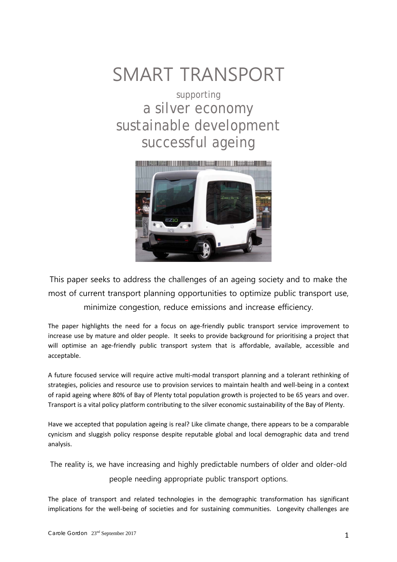# SMART TRANSPORT

supporting a silver economy sustainable development successful ageing



This paper seeks to address the challenges of an ageing society and to make the most of current transport planning opportunities to optimize public transport use, minimize congestion, reduce emissions and increase efficiency.

The paper highlights the need for a focus on age-friendly public transport service improvement to increase use by mature and older people. It seeks to provide background for prioritising a project that will optimise an age-friendly public transport system that is affordable, available, accessible and acceptable.

A future focused service will require active multi-modal transport planning and a tolerant rethinking of strategies, policies and resource use to provision services to maintain health and well-being in a context of rapid ageing where 80% of Bay of Plenty total population growth is projected to be 65 years and over. Transport is a vital policy platform contributing to the silver economic sustainability of the Bay of Plenty.

Have we accepted that population ageing is real? Like climate change, there appears to be a comparable cynicism and sluggish policy response despite reputable global and local demographic data and trend analysis.

The reality is, we have increasing and highly predictable numbers of older and older-old people needing appropriate public transport options.

The place of transport and related technologies in the demographic transformation has significant implications for the well-being of societies and for sustaining communities. Longevity challenges are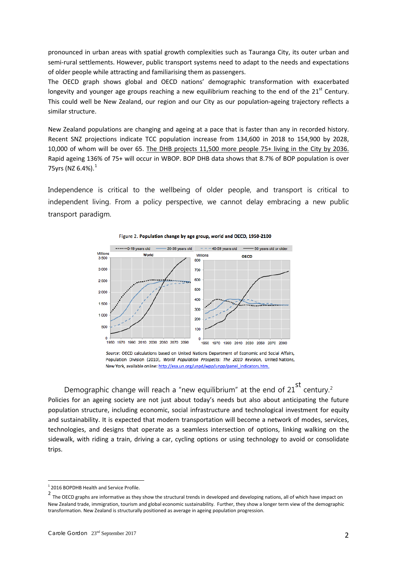pronounced in urban areas with spatial growth complexities such as Tauranga City, its outer urban and semi-rural settlements. However, public transport systems need to adapt to the needs and expectations of older people while attracting and familiarising them as passengers.

The OECD graph shows global and OECD nations' demographic transformation with exacerbated longevity and younger age groups reaching a new equilibrium reaching to the end of the  $21<sup>st</sup>$  Century. This could well be New Zealand, our region and our City as our population-ageing trajectory reflects a similar structure.

New Zealand populations are changing and ageing at a pace that is faster than any in recorded history. Recent SNZ projections indicate TCC population increase from 134,600 in 2018 to 154,900 by 2028, 10,000 of whom will be over 65. The DHB projects 11,500 more people 75+ living in the City by 2036. Rapid ageing 136% of 75+ will occur in WBOP. BOP DHB data shows that 8.7% of BOP population is over 75yrs (NZ  $6.4\%$ ). $^{1}$  $^{1}$  $^{1}$ 

Independence is critical to the wellbeing of older people, and transport is critical to independent living. From a policy perspective, we cannot delay embracing a new public transport paradigm.



Figure 2. Population change by age group, world and OECD, 1950-2100

Source: OECD calculations based on United Nations Department of Economic and Social Affairs, Population Division (2010), World Population Prospects: The 2010 Revision, United Nations, New York, available online: http://esa.un.org/unpd/wpp/unpp/panel\_indicators.htm.

Demographic change will reach a "new equilibrium" at the end of [2](#page-1-1)1 $^{\text{st}}$  century.<sup>2</sup> Policies for an ageing society are not just about today's needs but also about anticipating the future population structure, including economic, social infrastructure and technological investment for equity and sustainability. It is expected that modern transportation will become a network of modes, services, technologies, and designs that operate as a seamless intersection of options, linking walking on the sidewalk, with riding a train, driving a car, cycling options or using technology to avoid or consolidate trips.

<span id="page-1-0"></span><sup>1</sup> <sup>2016</sup> BOPDHB Health and Service Profile.

<span id="page-1-1"></span><sup>2</sup> The OECD graphs are informative as they show the structural trends in developed and developing nations, all of which have impact on New Zealand trade, immigration, tourism and global economic sustainability. Further, they show a longer term view of the demographic transformation. New Zealand is structurally positioned as average in ageing population progression.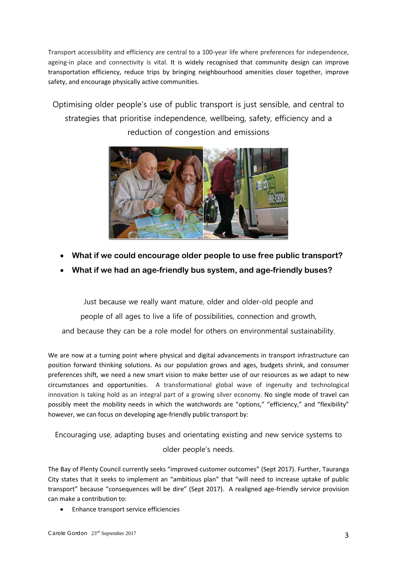Transport accessibility and efficiency are central to a 100-year life where preferences for independence, ageing-in place and connectivity is vital. It is widely recognised that community design can improve transportation efficiency, reduce trips by bringing neighbourhood amenities closer together, improve safety, and encourage physically active communities.

Optimising older people's use of public transport is just sensible, and central to strategies that prioritise independence, wellbeing, safety, efficiency and a reduction of congestion and emissions



- **What if we could encourage older people to use free public transport?**
- **What if we had an age-friendly bus system, and age-friendly buses?**

Just because we really want mature, older and older-old people and people of all ages to live a life of possibilities, connection and growth, and because they can be a role model for others on environmental sustainability.

We are now at a turning point where physical and digital advancements in transport infrastructure can position forward thinking solutions. As our population grows and ages, budgets shrink, and consumer preferences shift, we need a new smart vision to make better use of our resources as we adapt to new circumstances and opportunities. A transformational global wave of ingenuity and technological innovation is taking hold as an integral part of a growing silver economy. No single mode of travel can possibly meet the mobility needs in which the watchwords are "options," "efficiency," and "flexibility" however, we can focus on developing age-friendly public transport by:

Encouraging use, adapting buses and orientating existing and new service systems to older people's needs.

The Bay of Plenty Council currently seeks "improved customer outcomes" (Sept 2017). Further, Tauranga City states that it seeks to implement an "ambitious plan" that "will need to increase uptake of public transport" because "consequences will be dire" (Sept 2017). A realigned age-friendly service provision can make a contribution to:

• Enhance transport service efficiencies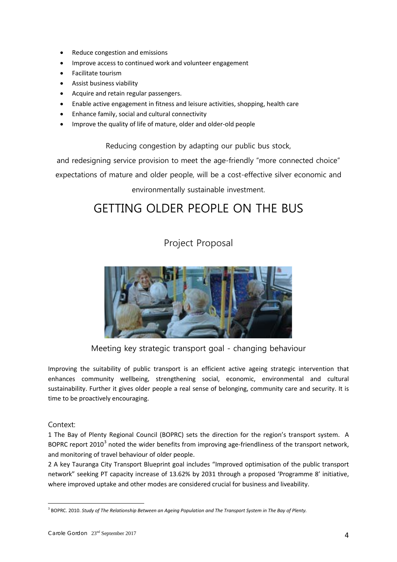- Reduce congestion and emissions
- Improve access to continued work and volunteer engagement
- Facilitate tourism
- Assist business viability
- Acquire and retain regular passengers.
- Enable active engagement in fitness and leisure activities, shopping, health care
- Enhance family, social and cultural connectivity
- Improve the quality of life of mature, older and older-old people

Reducing congestion by adapting our public bus stock,

and redesigning service provision to meet the age-friendly "more connected choice"

expectations of mature and older people, will be a cost-effective silver economic and

environmentally sustainable investment.

## GETTING OLDER PEOPLE ON THE BUS

## Project Proposal



Meeting key strategic transport goal - changing behaviour

Improving the suitability of public transport is an efficient active ageing strategic intervention that enhances community wellbeing, strengthening social, economic, environmental and cultural sustainability. Further it gives older people a real sense of belonging, community care and security. It is time to be proactively encouraging.

#### Context:

1 The Bay of Plenty Regional Council (BOPRC) sets the direction for the region's transport system. A BOPRC report 2010<sup>[3](#page-3-0)</sup> noted the wider benefits from improving age-friendliness of the transport network, and monitoring of travel behaviour of older people.

2 A key Tauranga City Transport Blueprint goal includes "Improved optimisation of the public transport network" seeking PT capacity increase of 13.62% by 2031 through a proposed 'Programme 8' initiative, where improved uptake and other modes are considered crucial for business and liveability.

<span id="page-3-0"></span><sup>3</sup> BOPRC. 2010. *Study of The Relationship Between an Ageing Population and The Transport System in The Bay of Plenty.*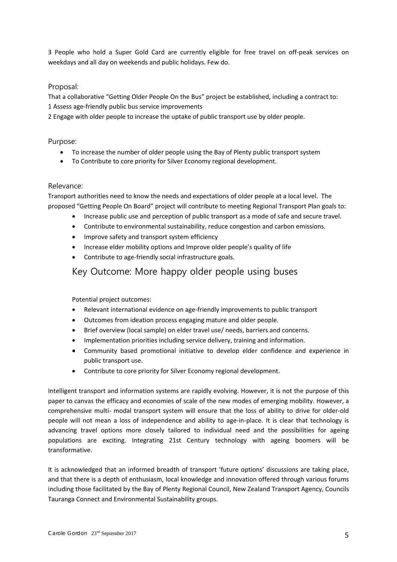3 People who hold a Super Gold Card are currently eligible for free travel on off-peak services on weekdays and all day on weekends and public holidays. Few do.

#### Proposal:

That a collaborative "Getting Older People On the Bus" project be established, including a contract to: 1 Assess age-friendly public bus service improvements

2 Engage with older people to increase the uptake of public transport use by older people.

#### Purpose:

- To increase the number of older people using the Bay of Plenty public transport system
- To Contribute to core priority for Silver Economy regional development.

#### Relevance:

Transport authorities need to know the needs and expectations of older people at a local level. The proposed "Getting People On Board" project will contribute to meeting Regional Transport Plan goals to:

- Increase public use and perception of public transport as a mode of safe and secure travel.
- Contribute to environmental sustainability, reduce congestion and carbon emissions.
- Improve safety and transport system efficiency
- Increase elder mobility options and Improve older people's quality of life
- Contribute to age-friendly social infrastructure goals.

### Key Outcome: More happy older people using buses

Potential project outcomes:

- Relevant international evidence on age-friendly improvements to public transport
- Outcomes from ideation process engaging mature and older people.
- Brief overview (local sample) on elder travel use/ needs, barriers and concerns.
- Implementation priorities including service delivery, training and information.
- Community based promotional initiative to develop elder confidence and experience in public transport use.
- Contribute to core priority for Silver Economy regional development.

Intelligent transport and information systems are rapidly evolving. However, it is not the purpose of this paper to canvas the efficacy and economies of scale of the new modes of emerging mobility. However, a comprehensive multi- modal transport system will ensure that the loss of ability to drive for older-old people will not mean a loss of independence and ability to age-in-place. It is clear that technology is advancing travel options more closely tailored to individual need and the possibilities for ageing populations are exciting. Integrating 21st Century technology with ageing boomers will be transformative.

It is acknowledged that an informed breadth of transport 'future options' discussions are taking place, and that there is a depth of enthusiasm, local knowledge and innovation offered through various forums including those facilitated by the Bay of Plenty Regional Council, New Zealand Transport Agency, Councils Tauranga Connect and Environmental Sustainability groups.